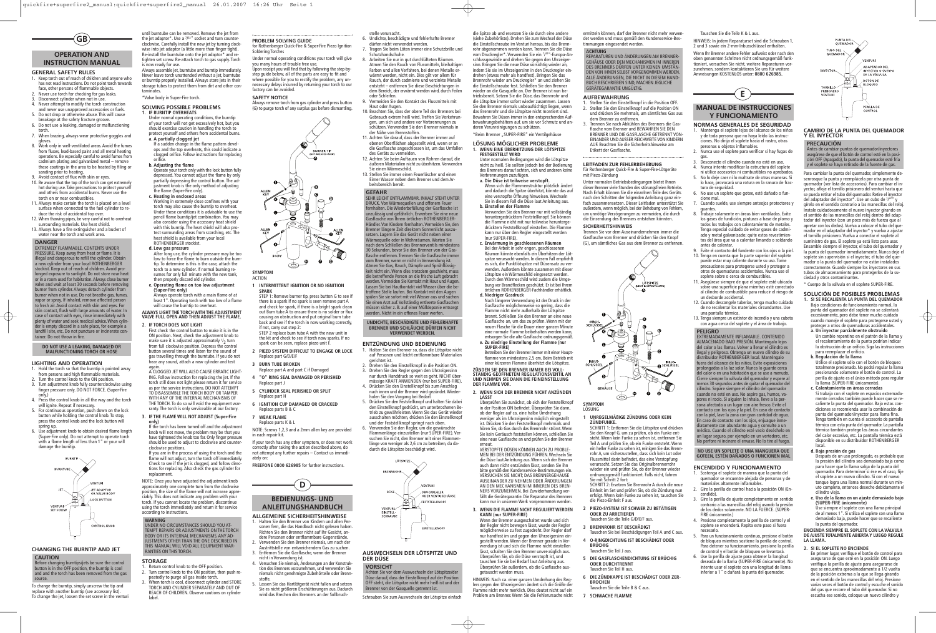#### **GENERAL SAFETY RULES**

- Keep torch out of reach of children and anyone who has not read instructions. Do not point torch towards face, other persons of flammable objects.
- 2. Never use torch for checking for gas leaks.
- Disconnect cylinder when not in use. 4. Never attempt to modify the torch construction
- and never use unapproved accessories or fuels. 5. Do not drop or otherwise abuse. This will cause
- breakage at the safety fracture groove. 6. Do not use a leaking, damaged or malfunctioning
- torch. 7. When brazing, always wear protective goggles and
- gloves. 8. Work only in well-ventilated areas.Avoid the fumes from fluxes, lead-based paint and all metal heating operations. Be especially careful to avoid fumes from cadmium plating and galvanized metal – remove these coatings in the area to be heated by filing or sanding prior to heating. 9. Avoid contact of flux with skin or eyes.
- 10. Be aware that the top of the torch can get extremely hot during use. Take precautions to protect yourself and others from accidental burns. Never use the torch on or near combustibles.
- 11. Always make certain the torch is placed on a level surface when connected to the fuel cylinder to reduce the risk of accidental top over.
- 12. When thawing pipes, be very careful not to overheat surrounding materials. Use heat shield.
- 13. Always have a fire extinguisher and a bucket of water near the torch and work area.

- Hold the torch so that the burntip is pointed away from persons and high flammable materials.
- Turn the control knob to the ON position. 3. Turn adjustment knob fully counterclockwise using
- finger pressure only. DO NOT FORCE. (Super-Fire only.) 4. Press the control knob in all the way and the torch
- will ignite. Repeat if necessary.
- 5. For continuous operation, push down on the lock button while holding the control knob. To stop, press the control knob and the lock button will spring up. 6. Use adjustment knob to obtain desired flame length
- (Super-Fire only). Do not attempt to operate torch with a flame length of less than 1" or your will damage the burntip.



until burntube can be removed. Remove the jet from<br>the jet adaptor\*. Use a <sup>7/32</sup>" socket and turn counterclockwise. Carefully install the new jet by turning clockwise into jet adaptor (a little more than finger tight). Re-install the burntube onto the jet adaptor\* and re tighten set screw. Re-attach torch to gas supply. Torch

#### **LIGHTING AND OPERATION**

To change the burntip, simply unscrew the tip and replace with another burntip (see accessory list). To change the jet, loosen the set screw in the venturi Always assemble jet, burntube and burntip immediately. Never leave torch unattended without a jet, burntube or burntip properly installed. Always store jets in their storage tubes to protect them from dirt and other con-

taminates.

\*Valve body in Super-Fire torch.

**SOLVING POSSIBLE PROBLEMS 1. IF BURNTIP OVERHEATS**

Under normal operating conditions, the burntip of your torch will not get excessively hot, but you should exercise caution in handling the torch to protect yourself and others from accidental burns.

**a. A partially clogged jet**

Return control knob to the OFF position Turn control knob to the ON position, then push repeatedly to purge all gas inside torch. When torch is cool, disconnect cylinder and STORE TORCH AND CYLINDER SEPARATELY AND OUT OF REACH OF CHILDREN. Observe cautions on cylinder

If a sudden change in the flame pattern devel-ops and the top overheats, this could indicate a clogged orifice. Follow instructions for replacing

orifice. **b. Adjusting the flame**

Operate your torch only with the lock button fully depressed. You cannot adjust the flame by only partially depressing the control button. The adjustment knob is the only method of adjusting

the flame (Super-Fire only). **c. Heating in enclosed areas**

> STEP 1: Remove burner tip, press button G to see if there is a spark if no spark is seen remove part A and check for spark, if there is a bright spark clean out Burn tube A to ensure there is no solder or flux causing an obstruction and put original burn tube back and see if the torch in now working correctly,

Working in extremely close confines with your torch may also cause the burntip to overheat. Under these conditions it is advisable to use the pencil flame burntip/jet combination. You may also consider using the accessory heat shield with this burntip. The heat shield will also protect surrounding areas from scorching, etc. The heat shield is available from your local ROTHENBERGER stockist. **d. Low gas pressure**

After long use, the cylinder pressure may be too low to force the flame to burn outside the burntip. To determine is this is the case, attach the torch to a new cylinder. If normal burning re-sumes for only full minute with the new tank, then properly discard old cylinder. **e. Operating flame on too low adjustment (Super-Fire only)** Always operate torch with a main flame of at least 1". Operating torch with too low of a flame will cause the burntip to overheat. **ALWAYS LIGHT THE TORCH WITH THE ADJUSTMENT VALVE FULL OPEN AND THEN ADJUST THE FLAME.**

**2. IF TORCH DOES NOT LIGHT**

der Nähe von Brennstoffen. 11. Achten Sie darauf, dass der Brenner immer auf ebenen Oberflächen abgestellt wird, wenn er an die Gasflasche angeschlossen ist, um das Umfallen des Geräts zu vermeiden. 12. Achten Sie beim Auftauen von Rohren darauf, die äußeren Materialien nicht zu überhitzen. Verwenden

First check the control button to make it is in the ON position. Next, check the adjustment knob to make sure it is adjusted approximately '/<sub>2</sub> turn from full clockwise position. Depress the control button several times and listen for the sound of gas travelling through the burntube. If you do not hear any sound, attach a new cylinder and test again. A CLOGGED JET WILL ALSO CAUSE ERRATIC LIGHT-ING. Follow instruction for replacing the jet. If the torch still does not light please return it for service as per the service instructions. DO NOT ATTEMPT TO DISASSEMBLE THE TORCH BODY OR TAMPER WITH ANY OF THE INTERNAL MECHANISMS OF THE TORCH. To do so will void the equipment war ranty. The torch is only serviceable at our factory. **3. IF THE FLAME WILL NOT ADJUST (Super-Fire only)** If the torch has been turned off and the adjustment knob will not move, the problem may be that you have tightened the knob too far. Only finger pressure should be used to adjust to clockwise and counter-

clockwise positions.

If you are in the process of using the torch and the flame will not adjust, turn the torch off immediately. Check to see if the jet is clogged, and follow directions for replacing. Also check the gas cylinder for

replacement.

bewahrungsbehältern auf, um sie vor Schmutz und anderen Verunreinigungen zu schützen. \*Beim Brenner "SUPER-FIRE" ein Ventilgehäuse

NOTE: Once you have adjusted the adjustment knob approximately one complete turn from the clockwise position, the size of the flame will not increase appreciably. This does not indicate any problem with your torch. If you cannot locate the problem, discontinue using the torch immediately and return it for service according to instructions.

**STORAGE**

label.

#### **PROBLEM SOLVING GUIDE** for Rothenberger Quick-Fire & Super-Fire Piezo Ignition

- Soldering Torches
- Under normal operating conditions your torch will give you many hours of trouble free use. Upon receipt you will find that by following the step-bystep guide below, all of the parts are easy to fit and

where possible for you to rectify the problem, any unnecessary delays incurred by returning your torch to our factory can be avoided. **SAFETY NOTICE**

Betreiben Sie den Brenner immer mit einer Hauptflamme von mindestens 2,5 cm. Beim Betrieb mit

Always remove torch from gas cylinder and press button (G) to purge torch of any surplus gas before dismantling.



**SYMPTOM**

### ACTION

#### **1 INTERMITTENT IGNITION OR NO IGNITION SPARK**

if not, carry out step 2: STEP 2 replace burn tube A with the new unit in

the kit and check to see if torch now sparks. If no spark can be seen, replace piezo unit F.

- **2 PIEZO SYSTEM DIFFICULT TO ENGAGE OR LOCK** Replace part G/D/E/
- **3 BURN TUBE BROKEN** Replace part A and part C if Damaged
- **4 "O" RING SEAL DAMAGED OR PERISHED** Replace part J
- **5 CYLINDER SEAL PERISHED OR SPLIT** eplace part H
- **6 IGNITION CUP DAMAGED OR CRACKED** Replace parts B & C
- **7 WEAK FLAME**
- Replace parts K & L

NOTE: Screws 1,2,3 and a 2mm allen key are provided in each repair kit.

If your torch has any other symptom, or does not work correctly after taking the action described above, do not attempt any further repairs – Contact us immediately on:

**FREEFONE 0800 626985** for further instructions.



#### **ALLGEMEINE SICHERHEITSHINWEISE**

- 1. Halten Sie den Brenner von Kindern und allen Personen fern, die das Handbuch nicht gelesen haben. Richten Sie den Brenner nicht auf Ihr Gesicht, an-
- dere Personen oder entflammbare Gegenstände. 2. Verwenden Sie den Brenner niemals, um nach der Austrittstelle von entweichendem Gas zu suchen.
- 3. Entfernen Sie die Gasflasche, wenn der Brenner nicht in Verwendung ist. 4. Versuchen Sie niemals, Änderungen an der Konstruk-
- tion des Brenners vorzunehmen, und verwenden Sie niemals nicht genehmigte Zubehörteile oder Brennstoffe.
- 5. Lassen Sie das Hartlötgerät nicht fallen und setzen Sie es nicht größeren Erschütterungen aus. Dadurch wird das Brechen des Brenners an der Sollbruch-

stelle verursacht.

6. Undichte, beschädigte und fehlerhafte Brenner dürfen nicht verwendet werden.

7. Tragen Sie beim Löten immer eine Schutzbrille und

HINWEIS: In jedem Reparaturset sind die Schrauben 1, 2 und 3 sowie ein 2-mm-Inbusschlüssel enthalte

8. Arbeiten Sie nur in gut durchlüfteten Räumen. Atmen Sie den Rauch von Flussmitteln, bleihaltigen Farben und allen Verfahren, bei denen Metalle erwärmt werden, nicht ein. Dies gilt vor allem für Rauch, der durch cadmierte und verzinkte Metalle entsteht – entfernen Sie diese Beschichtungen in dem Bereich, der erwärmt werden wird, durch Feilen

oder Schleifen.

9. Vermeiden Sie den Kontakt des Flussmittels mit Haut oder Augen. 10. Beachten Sie, dass der obere Teil des Brenners bei Gebrauch extrem heiß wird. Treffen Sie Vorkehrungen, um sich und andere vor Verbrennungen zu schützen. Verwenden Sie den Brenner niemals in

Sie einen Wärmeschild.

13. Stellen Sie immer einen Feuerlöscher und einen Eimer Wasser neben dem Brenner und dem Ar-

beitsbereich bereit.

**ENTZÜNDUNG UND BEDIENUNG** 1. Halten Sie den Brenner so, dass die Lötspitze nicht auf Personen und leicht entflammbare Materialien gerichtet ist. 2. Drehen Sie den Einstellknopf in die Position ON. 3. Drehen Sie den Regler gegen den Uhrzeigersinn nur durch Handdruck so weit es geht. NICHT übermässige KRAFT ANWENDEN (nur bei SUPER-FIRE). 4. Drücken Sie den Einstellknopf bis zum Anschlag nach innen und der Brenner wird gezündet.Wiederholen Sie den Vorgang bei Bedarf. 5. Drücken Sie den Feststellknopf und halten Sie dabei den Einstellknopf gedrückt, um unterbrochenen Betrieb zu gewährleisten. Wenn Sie das Gerät wiede ausschalten möchten, drücken Sie den Einstellknopf und der Feststellknopf springt nach oben. 6. Verwenden Sie den Regler, um die gewünschte Flammenlänge einzustellen (nur SUPER-FIRE). Versuchen Sie nicht, den Brenner mit einer Flammenlänge von weniger als 2,6 cm zu betreiben, da dadurch die Lötspitze beschädigt wird.

#### **AUSWECHSELN DER LÖTSPITZE UND DER DÜSE**

Schrauben Sie zum Auswechseln der Lötspitze einfach

die Spitze ab und ersetzen Sie sie durch eine andere (siehe Zubehörliste). Drehen Sie zum Wechsel der Düse die Einstellschraube im Venturi heraus, bis das Brennrohr abgenommen werden kann. Trennen Sie die Düse vom Druckregler\*. Verwenden Sie ein <sup>7</sup> / 32 "-Europa-Anschlussgewinde und drehen Sie gegen den Uhrzeigersinn. Bringen Sie die neue Düse vorsichtig wieder an, indem Sie sie im Uhrzeigersinn in den Druckregler eindrehen (etwas mehr als handfest). Bringen Sie das Brennrohr wieder am Druckregler\* an und ziehen Sie die Einstellschraube fest. Schließen Sie den Brenner wieder an die Gasquelle an. Der Brenner ist nun betriebsbereit. Setzen Sie die Düse, das Brennrohr und die Lötspitze immer sofort wieder zusammen. Lassen Sie den Brenner niemals unbeaufsichtigt liegen, wenn das Brennrohr und die Lötspitze nicht montiert sind. Bewahren Sie Düsen immer in den entsprechenden Auf-

#### **LÖSUNG MÖGLICHER PROBLEME 1. WENN EINE ÜBERHITZUNG DER LÖTSPITZE FESTGESTELLT WIRD**

Unter normalen Bedingungen wird die Lötspitze nicht zu heiß. Sie sollten jedoch bei der Bedienung des Brenners darauf achten, sich und anderen keine Verbrennungen zuzufügen.

# **a. Die Düse ist teilweise verstopft.** Wenn sich die Flammenstruktur plötzlich ändert

**b. Einstellen der Flamme** Verwenden Sie den Brenner nur mit vollständig

- und dadurch die Spitze überhitzt, könnte das auf eine verstopfte Öffnung hinweisen.Wechseln Sie in diesem Fall die Düse laut Anleitung aus.
- heruntergedrücktem Feststellknopf. Sie können die Flamme nicht mit nur teilweise heruntergedrücktem Feststellknopf einstellen. Die Flammen kann nur über den Regler eingestellt werden (nur SUPER-FIRE).
- **c. Erwärmung in geschlossenen Räumen** Bei der Arbeit in sehr engen, geschlossenen Räumen könnte ebenfalls ein Überhitzen der Lötspitze verursacht werden. In diesem Fall empfiehlt es sich, die Punktlötspitze mit Düsensatz zu verwenden. Außerdem könnte zusammen mit dieser Lötspitze ein Wärmeschild eingesetzt werden. Durch den Wärmeschild wird zudem die Umgebung vor Brandflecken geschützt. Er ist bei Ihrem örtlichen ROTHENBERGER-Fachhändler erhältlich. **d. Niedriger Gasdruck**

Nach längerer Verwendung ist der Druck in der Gasflasche möglicherweise so gering, dass die Flamme nicht mehr außerhalb der Lötspitze brennt. Schließen Sie den Brenner an eine neue Gasflasche an, um das zu prüfen.Wenn mit der neuen Flasche für die Dauer einer ganzen Minute eine normale Flamme beibehalten werden kann, tsorgen Sie die alte Gasflasche ordnungsgemäß **e. Zu niedrige Einstellung der Flamme (nur**

**SUPER-FIRE)**

# einer kürzeren Flamme überhitzt die Lötspitze.<br>EUNDEN SIE DEN BRENNER IMMER BEI VOLL-

**ZÜNDEN SIE DEN BRENNER IMMER BEI VOLL- STÄNDIG GEÖFFNETEM REGULATIONSVENTIL AN UND NEHMEN SIE DANN DIE FEINEINSTELLUNG DER FLAMME VOR.**

**2. WENN SICH DER BRENNER NICHT ANZÜNDEN**

## **LÄSST**

in der Position ON befindet. Überprüfen Sie dann, ob der Regler auf ca. eine halbe Umdrehung

weniger als im Uhrzeigersinn möglich eingestellt ist. Drücken Sie den Feststellknopf mehrmals und hören Sie, ob Gas durch das Brennrohr strömt.Wenn Sie kein Geräusch feststellen können, schließen Sie eine neue Gasflasche an und prüfen Sie den Brenner erneut.

**BEDIENUNGS- UND ANLEITUNGSHANDBUCH**  $(D)$ 

## **OPERATION AND INSTRUCTION MANUAL GB**

VERSTOPFTE DÜSEN KÖNNEN AUCH ZU PROBLE-MEN BEI DER ENTZÜNDUNG FÜHREN.Wechseln Sie die Düse laut Anleitung aus.Wenn sich der Brenner auch dann nicht entzünden lässt, senden Sie ihn bitte gemäß den Kundenservice-Bestimmungen ein. VERSUCHEN SIE NICHT; DAS BRENNERGEHÄUSE AUSEINANDER ZU NEHMEN ODER ÄNDERUNGEN AN DEN MECHANISMEN IM INNEREN DES BREN-NERS VORZUNEHMEN. Bei Zuwiderhandlung verfällt die Gerätegarantie. Die Reparatur des Brenners kann nur in unserem Werk vorgenommen werden.

#### **3. WENN DIE FLAMME NICHT REGULIERT WERDEN KANN (nur SUPER-FIRE)**

#### **CHANGING THE BURNTIP AND JET CAUTION**

Wenn der Brenner ausgeschaltet wurde und sich der Regler nicht bewegen lässt, wurde der Regler möglicherweise zu fest zugedreht. Der Regler darf nur handfest im und gegen den Uhrzeigersinn eingestellt werden.Wenn der Brenner gerade in Verwendung ist und sich die Flamme nicht einstellen lässt, schalten Sie den Brenner unver-züglich aus. Überprüfen Sie, ob die Düse verstopft ist, und tauschen Sie sie bei Bedarf laut Anleitung aus. Überprüfen Sie außerdem, ob die Gasflasche ausgetauscht werden muss.

Überprüfen Sie zunächst, ob sich der Feststellknopf **SYMPTOM**

HINWEIS: Nach ca. einer ganzen Umdrehung des Reglers gegen den Uhrzeigersinn ändert sich die Größe der Flamme nicht mehr merklich. Dies deutet nicht auf ein Problem am Brenner.Wenn Sie die Fehlerursache nicht

ermitteln können, darf der Brenner nicht mehr verwendet werden und muss gemäß den Kundenservice-Bes-timmungen eingesendet werden.

1. Stellen Sie den Einstellknopf in die Position OFF. 2. Stellen Sie den Einstellknopf auf die Position ON und drücken Sie mehrmals, um sämtliches Gas aus dem Brenner zu entfernen.

**AUFBEWAHRUNG** Etikett der Gasflasche.

3. Trennen Sie nach Abkühlen des Brenners die Gasflasche vom Brenner und BEWAHREN SIE DEN BRENNER UND DIE GASFLASCHE GETRENNT VON-EINANDER UND AUSSER REICHWEITE VON KINDERN AUF. Beachten Sie die Sicherheitshinweise am

## **LEITFADEN ZUR FEHLERBEHEBUNG** für Rothenberger Quick-Fire & Super-Fire-Lötgeräte mit Piezo-Zündung

Unter normalen Betriebsbedingungen bietet Ihnen dieser Brenner viele Stunden des störungsfreien Betriebs. Nach Erhalt können Sie die einzelnen Teile des Geräts nach den Schritten der folgenden Anleitung ganz einfach zusammensetzen. Dieser Leitfaden unterstützt Sie aufferdem, wenn möglich, bei der Behebung von Fehlern, wenn möglich, bei der Behebung von Fehlern um unnötige Verzögerungen zu vermeiden, die durch die Einsendung des Brenners entstehen könnten.

#### **SICHERHEITSHINWEIS**

Trennen Sie vor dem Auseinandernehmen immer die Gasflasche vom Brenner und drücken Sie den Knopf (G), um sämtliches Gas aus dem Brenner zu entfernen.





LÖSUNG

#### **1 UNREGELMÄßIGE ZÜNDUNG ODER KEIN**

**ZÜNDFUNKE.**

SCHRITT 1: Entfernen Sie die Lötspitze und drücken Sie den Knopf G, um zu prüfen, ob ein Funke entsteht.Wenn kein Funke zu sehen ist, entfernen Sie Teil A und prüfen Sie, ob ein Funke entsteht.Wenn ein heller Funke zu sehen ist, reinigen Sie das Brenn-rohr A, um sicherzustellen, dass sich kein Lot oder Flussmittel darin befindet, das eine Verstopfung verursacht. Setzen Sie das Originalbrennerrohr wieder ein und prüfen Sie, ob der Brenner wieder ordnungsgemäß funktioniert. Falls nicht, fahren Sie mit Schritt 2 fort: SCHRITT 2: Ersetzen Sie Brennrohr A durch die neue Einheit im Set und prüfen Sie, ob die Zündung nun erfolgt.Wenn kein Funke zu sehen ist, tauschen Sie die Piezo-Einheit F aus.

## **2 PIEZO-SYSTEM IST SCHWER ZU BETÄTIGEN**

Tauschen Sie bei Beschädigungen Teil A und C aus.

- 
- **ODER ZU ARRETIEREN** Tauschen Sie die Teile G/D/E/F aus.
- **3 BRENNROHR IST BESCHÄDIGT**
- **BRÜCHIG**
- Tauschen Sie Teil J aus. **ODER DURCHTRENNT**
- Tauschen Sie Teil H aus.



**4 O-RINGDICHTUNG IST BESCHÄDIGT ODER**

**5 DIE GASFLASCHENDICHTUNG IST BRÜCHIG**

#### **6 DIE ZÜNDKAPPE IST BESCHÄDIGT ODER ZER-**



**7 SCHWACHE FLAMME**

Tauschen Sie die Teile K & L aus.

Wenn Ihr Brenner andere Fehler aufweist oder nach den oben genannten Schritten nicht ordnungsgemäß funktioniert, versuchen Sie nicht, weitere Reparaturen vorzunehmen, sondern kontaktieren Sie uns für weitere Anweisungen KOSTENLOS unter: **0800 626985.**

- **NORMAS GENERALES DE SEGURIDAD** Mantenga el soplete lejos del alcance de los niños
- y de toda persona que no haya leído las instruciones. No dirija el soplete hacia el rostro, otras personas u objetos inflamables.
- 2. Nunca use el soplete para verificar si hay fugas de gas.
- 3. Desconecte el cilindro cuando no esté en uso. 4. Nunca intente modificar la estructura del soplete
- ni utilice accesorios ni combustibles no aprobados.
- 5. No lo deje caer ni lo maltrate de otras maneras. Si lo hace, provocará una rotura en la ranura de fractura de seguridad.
- No use un soplete que gotee, esté dañado o funcione mal.
- 7. Cuando suelde, use siempre anteojos protectores y
- guantes. 8. Trabaje solamente en áreas bien ventiladas. Evite los gases de fundición, pinturas a base de plomo y todos los trabajos con calentamiento de metales. Tenga especial cuidado de evitar gases de cadmiado y metal galvanizado; quite estos revestimientos del área que va a calentar limando o soldando antes de calentar.
- Evite el contacto del fundente con los ojos o la piel. 10. Tenga en cuenta que la parte superior del soplete puede estar muy caliente durante su uso. Tome precauciones para protegerse usted y proteger a otros de quemaduras accidentales. Nunca use el soplete sobre o cerca de combustibles.
- 11. Asegúrese siempre de que el soplete esté ubicado sobre una superficie plana mientras esté conectado al cilindro de combustible para reducir el riesgo de un desborde accidental.
- 12. Cuando descongele tuberías, tenga mucho cuidado de no recalentar los materiales circundantes. Use una pantalla térmica.
- 13. Tenga siempre un extintor de incendio y una cubeta con agua cerca del soplete y el área de trabajo.

#### **ENCENDIDO Y FUNCIONAMIENTO**

- 1. Sostenga el soplete de manera que la punta del quemador se encuentre alejada de personas y de materiales altamente inflamables.
- 2. Gire la perilla de control hacia la posición ON (Encendido).
- 3. Gire la perilla de ajuste completamente en sentido contrario a las manecillas del reloj usando la presión de los dedos solamente. NO LA FUERCE. (SUPER-FIRE únicamente.)
- 4. Presione completamente la perilla de control y el soplete se encenderá. Repita este paso si fuera necesario.
- 5. Para un funcionamiento continuo, presione el botón de bloqueo mientras sostiene la perilla de control. Para detener su funcionamiento, presione la perilla de control y el botón de bloqueo se levantará.
- 6. Use la perilla de ajuste para obtener la longitud deseada de la llama (SUPER-FIRE únicamente). No intente usar el soplete con una longitud de llama inferior a 1" o dañará la punta del quemador.



#### **CAMBIO DE LA PUNTA DEL QUEMADOR Y EL INYECTOR**

Para cambiar la punta del quemador, simplemente desenrosque la punta y reemplácela por otra punta de quemador (ver lista de accesorios). Para cambiar el inyector, afloje el tornillo prisionero del venturi hasta que se pueda retirar el tubo del quemador. Retire el inyector del adaptador del inyector\*. Use un cubo de <sup>7</sup> / 32 " y gírelo en el sentido contrario a las manecillas del reloj. Instale cuidadosamente el nuevo inyector girando en el sentido de las manecillas del reloj dentro del adaptador del inyector (con un poco más de fuerza que al apretar con los dedos).Vuelva a colocar el tubo del quemador en el adaptador del inyector\* y vuelva a ajustar el tornillo prisionero. Vuelva a conectar el soplete al suministro de gas. El soplete ya está listo para usar. Ensamble siempre el inyector, el tubo del quemador y la punta del quemador inmediatamente. Nunca deje e soplete sin supervisión si el inyector, el tubo del quemador o la punta del quemador no están instalados correctamente. Guarde siempre los inyectores en sus tubos de almacenamiento para protegerlos de la suciedad y otros contaminantes.

\* Cuerpo de la válvula en el soplete SUPER-FIRE.

#### **SOLUCIÓN DE POSIBLES PROBLEMAS**

- **1. SI SE RECALIENTA LA PUNTA DEL QUEMADOR** Bajo condiciones de funcionamiento normal, la punta del quemador del soplete no se calentará excesivamente, pero debe tener mucho cuidado cuando maneje el soplete para protegerse usted y proteger a otros de quemaduras accidentales.
- **a. Un inyector parcialmente obstruido** Un cambio repentino en el patrón de la llama y el recalentamiento de la punta podrían indicar la obstrucción de un orificio. Siga las instrucciones para reemplazar el orificio.
- **b. Regulación de la llama** Utilice el soplete sólo con el botón de bloqueo totalmente presionado. No podrá regular la llama presionando solamente el botón de control. La perilla de ajuste es el único método para regular la llama (SUPER-FIRE únicamente).
- **c. Calentamiento en áreas cerradas** Si trabaja con el soplete en espacios extremada-mente cerrados también puede hacer que se recaliente la punta del quemador. Bajo estas condiciones se recomienda usar la combinación de punta del quemador/inyector para llama fina. Tenga también en cuenta el accesorio de pantalla térmica con esta punta del quemador. La pantalla térmica también protege las áreas circundantes del calor excesivo, etc. La pantalla térmica está disponible en su distribuidor ROTHENBERGER local.
- **d. Baja presión de gas**

Después de un uso prolongado, es probable que la presión del cilindro sea demasiado baja como para hacer que la llama salga de la punta del .<br>quemador. Para determinar si ése es el caso, fije el soplete a un nuevo cilindro. Si con el nuevo tanque logra una llama normal durante un minuto completo, entonces deseche debidamente el cilindro viejo.

**e. Uso de la llama en un ajuste demasiado bajo (SUPER-FIRE únicamente)** Use siempre el soplete con una llama principal de al menos 1". Si utiliza el soplete con una llama demasiado baja, puede hacer que se recaliente la punta del quemador.

#### **ENCIENDA SIEMPRE EL SOPLETE CON LA VÁLVULA DE AJUSTE TOTALMENTE ABIERTA Y LUEGO REGULE LA LLAMA.**

- **2. SI EL SOPLETE NO ENCIENDE**
- En primer lugar, verifique el botón de control para asegurarse de que esté en la posición ON. Luego verifique la perilla de ajuste para asegurarse de que se encuentra aproximadamente a 1/2 vuelta de la posición extrema a la que se llega girando en el sentido de las manecillas del reloj. Presione varias veces el botón de control y escuche el sonido del gas que recorre el tubo del quemador. Si no escucha ese sonido, coloque un nuevo cilindro y

#### **PRECAUCIÓN**

Antes de cambiar puntas de quemador/inyectores asegúrese de que el botón de control esté en la posición OFF (Apagado), la punta del quemador esté fría y el soplete se haya retirado de la fuente de gas.

#### **NO USE UN SOPLETE O UNA MANGUERA QUE GOTEEN, ESTÉN DAÑADOS O FUNCIONEN MAL**

#### **PELIGRO**

EXTREMADAMENTE INFLAMABLE. CONTENIDO ALMACENADO BAJO PRESIÓN. Manténgalo lejos del calor o las llamas. Volver a llenar el cilindro es ilegal y peligroso. Obtenga un nuevo cilindro de su distribuidor ROTHENBERGER local. Manténgalo fuera del alcance de los niños. Evite exposiciones prolongadas a la luz solar. Nunca lo guarde cerca del calor o en una habitación que se use a menudo. Cierre siempre la válvula del quemador y espere al menos 30 segundos antes de quitar el quemador del cilindro. Separe siempre el cilindro del quemador cuando no esté en uso. No aspire gas, humos, vapores ni rocío. Si alguien lo inhala, lleve a la per-sona afectada a un lugar con aire fresco. Evite el contacto con los ojos y la piel. En caso de contacto con la piel, lave la zona con gran cantidad de agua. En caso de contacto con los ojos, enjuague inmediatamente con abundante agua y consulte a un médico. Cuando el cilindro esté vacío deséchelo en un lugar seguro, por ejemplo en un vertedero, et No perfore ni incinere el envase. No lo tire al fuego.

**ACHTUNG**

REPARATUREN UND ÄNDERUNGEN AM BRENNER-GEHÄUSE ODER DEN MECHANISMEN IM INNEREN DES BRENNERS DÜRFEN UNTER KEINEN UMSTÄN-DEN VON IHNEN SELBST VORGENOMMEN WERDEN.<br>ALLE ÄNDERLINGEN. DIE NICHT IN DIESEM HAND-ALLE ÄNDERUNGEN, DIE NICHT IN DIESEM HAND-BUCH BESCHRIEBEN SIND, MACHEN JEGLICHE GERÄTEGARANTIE UNGÜLTIG.

**VORSICHT** Achten Sie vor dem Auswechseln der Lötspitze/der

Düse darauf, dass der Einstellknopf auf der Position OFF steht, die Lötspitze nicht mehr heiß ist und der Brenner von der Gasquelle getrennt ist.

**UNDICHTE, BESCHÄDIGTE UND FEHLERHAFTE BRENNER UND SCHLÄUCHE DÜRFEN NICHT VERWENDET WERDEN.**

**GEFAHR**

SEHR LEICHT ENTFLAMMBAR. INHALT STEHT UNTER DRUCK. Von Wärmequellen und offenem Feuer fernhalten. Die Wiederbefüllung der Gasflasche ist unzulässig und gefährlich. Erwerben Sie eine neue gan Sammen Entender Bereichen der Freisen Händler.Von Kindern fernhalten.Vermeiden Sie, den Brenner längere Zeit direktem Sonnenlicht auszusetzen. Lagern Sie das Gerät nicht neben einer Wärmequelle oder in Wohnräumen.Warten Sie nach dem Schließen des Brennerventils mindestens 30 Sekunden, bevor Sie den Brenner von der Gasflasche entfernen. Trennen Sie die Gasflasche immer vom Brenner, wenn er nicht in Verwendung ist. Atmen Sie Gas, Rauch, Dämpfe und Sprühflüssigkeit nicht ein.Wenn dies trotzdem geschieht, muss die betreffende Person an die frische Luft gebracht werden.Vermeiden Sie Kontakt mit Haut und Augen. Lassen Sie bei Hautkontakt viel Wasser über die betroffene Stelle laufen. Bei Kontakt mit den Augen spülen Sie sie sofort mit viel Wasser aus und suchen Sie einen Arzt auf. Vollständig entleerte Gasflaschen<br>müssen sicher z. B. auf einer Mülldeponie entsorgt werden. Nicht in ein offenes Feuer werfen.

nutzhandschuhe.

**WARNING**

UNDER NO CIRCUMSTANCES SHOULD YOU AT-TEMPT REPAIRS OR ADJUSTMENTS ON THE TORCH BODY OR ITS INTERNAL MECHANISMS. ANY AD-JUSTMENTS OTHER THAN THE ONE DESCRIBED IN THIS MANUAL WILL VOID ALL EQUIPMENT WAR-

RANTIES ON THIS TORCH.

Before changing burntips/jets be sure the control button is in the OFF position, the burntip is cool and and the torch has been removed from the gas source.

#### **DO NOT USE A LEAKING, DAMAGED OR MALFUNCTIONING TORCH OR HOSE**

#### **DANGER**

EXTREMELY FLAMMABLE. CONTENTS UNDER PRESSURE. Keep away from heat or flame. It is illegal and dangerous to refill the cylinder. Obtain a new cylinder from your local ROTHENBERGER stockist. Keep out of reach of children. Avoid prolonged exposure to sunlight. Do not store near heat or in a room used for habitation.Always close burner valve and wait at least 30 seconds before ren burner from cylinder. Always detach cylinder from burner when not in use. Do not breathe gas, fumes, vapor or spray. If inhaled, remove affected person to fresh air. Avoid contact with skin and eyes. For skin contact, flush with large amounts of water. In case of contact with eyes, rinse immediately with plenty of water and seek medical advice.When cylinder is empty discard in a safe place, for example a andfill site, etc. Do not puncture or incinerate container. Do not throw in fire.



## **Y FUNCIONAMIENTO**

 $\frac{1}{2}$  now ready for use.